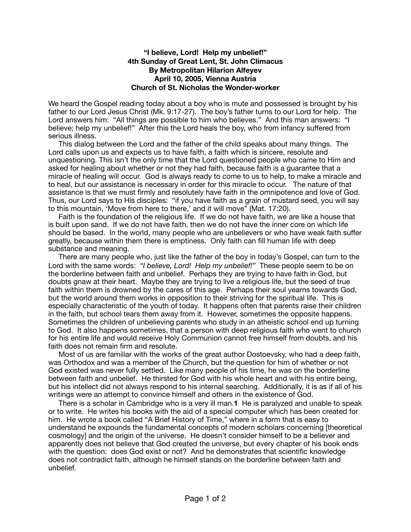## **"I believe, Lord! Help my unbelief!" 4th Sunday of Great Lent, St. John Climacus By Metropolitan Hilarion Alfeyev April 10, 2005, Vienna Austria Church of St. Nicholas the Wonder-worker**

We heard the Gospel reading today about a boy who is mute and possessed is brought by his father to our Lord Jesus Christ (Mk. 9:17-27). The boy's father turns to our Lord for help. The Lord answers him: "All things are possible to him who believes." And this man answers: "I believe; help my unbelief!" After this the Lord heals the boy, who from infancy suffered from serious illness.

 This dialog between the Lord and the father of the child speaks about many things. The Lord calls upon us and expects us to have faith, a faith which is sincere, resolute and unquestioning. This isn't the only time that the Lord questioned people who came to Him and asked for healing about whether or not they had faith, because faith is a guarantee that a miracle of healing will occur. God is always ready to come to us to help, to make a miracle and to heal, but our assistance is necessary in order for this miracle to occur. The nature of that assistance is that we must firmly and resolutely have faith in the omnipotence and love of God. Thus, our Lord says to His disciples: "if you have faith as a grain of mustard seed, you will say to this mountain, 'Move from here to there,' and it will move" (Mat. 17:20).

 Faith is the foundation of the religious life. If we do not have faith, we are like a house that is built upon sand. If we do not have faith, then we do not have the inner core on which life should be based. In the world, many people who are unbelievers or who have weak faith suffer greatly, because within them there is emptiness. Only faith can fill human life with deep substance and meaning.

 There are many people who, just like the father of the boy in today's Gospel, can turn to the Lord with the same words: *"I believe, Lord! Help my unbelief!"* These people seem to be on the borderline between faith and unbelief. Perhaps they are trying to have faith in God, but doubts gnaw at their heart. Maybe they are trying to live a religious life, but the seed of true faith within them is drowned by the cares of this age. Perhaps their soul yearns towards God, but the world around them works in opposition to their striving for the spiritual life. This is especially characteristic of the youth of today. It happens often that parents raise their children in the faith, but school tears them away from it. However, sometimes the opposite happens. Sometimes the children of unbelieving parents who study in an atheistic school end up turning to God. It also happens sometimes, that a person with deep religious faith who went to church for his entire life and would receive Holy Communion cannot free himself from doubts, and his faith does not remain firm and resolute.

 Most of us are familiar with the works of the great author Dostoevsky, who had a deep faith, was Orthodox and was a member of the Church, but the question for him of whether or not God existed was never fully settled. Like many people of his time, he was on the borderline between faith and unbelief. He thirsted for God with his whole heart and with his entire being, but his intellect did not always respond to his internal searching. Additionally, it is as if all of his writings were an attempt to convince himself and others in the existence of God.

 There is a scholar in Cambridge who is a very ill man.**1** He is paralyzed and unable to speak or to write. He writes his books with the aid of a special computer which has been created for him. He wrote a book called "A Brief History of Time," where in a form that is easy to understand he expounds the fundamental concepts of modern scholars concerning [theoretical cosmology] and the origin of the universe. He doesn't consider himself to be a believer and apparently does not believe that God created the universe, but every chapter of his book ends with the question: does God exist or not? And he demonstrates that scientific knowledge does not contradict faith, although he himself stands on the borderline between faith and unbelief.